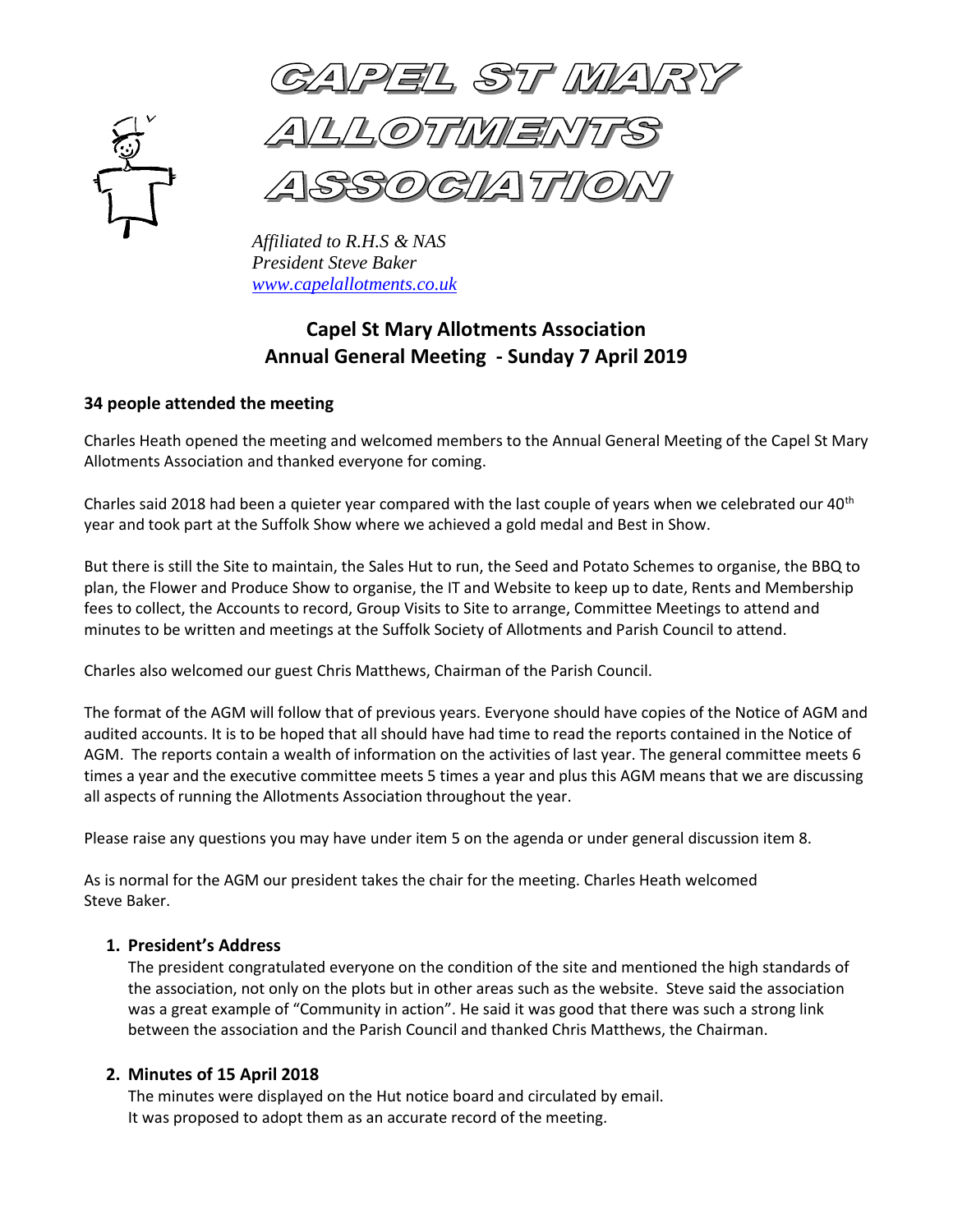

PEL ST MA

*LOTMER* 

 *Affiliated to R.H.S & NAS President Steve Baker [www.capelallotments.co.uk](http://www.capelallotments.co.uk/)*

# **Capel St Mary Allotments Association Annual General Meeting - Sunday 7 April 2019**

# **34 people attended the meeting**

Charles Heath opened the meeting and welcomed members to the Annual General Meeting of the Capel St Mary Allotments Association and thanked everyone for coming.

Charles said 2018 had been a quieter year compared with the last couple of years when we celebrated our 40<sup>th</sup> year and took part at the Suffolk Show where we achieved a gold medal and Best in Show.

But there is still the Site to maintain, the Sales Hut to run, the Seed and Potato Schemes to organise, the BBQ to plan, the Flower and Produce Show to organise, the IT and Website to keep up to date, Rents and Membership fees to collect, the Accounts to record, Group Visits to Site to arrange, Committee Meetings to attend and minutes to be written and meetings at the Suffolk Society of Allotments and Parish Council to attend.

Charles also welcomed our guest Chris Matthews, Chairman of the Parish Council.

The format of the AGM will follow that of previous years. Everyone should have copies of the Notice of AGM and audited accounts. It is to be hoped that all should have had time to read the reports contained in the Notice of AGM. The reports contain a wealth of information on the activities of last year. The general committee meets 6 times a year and the executive committee meets 5 times a year and plus this AGM means that we are discussing all aspects of running the Allotments Association throughout the year.

Please raise any questions you may have under item 5 on the agenda or under general discussion item 8.

As is normal for the AGM our president takes the chair for the meeting. Charles Heath welcomed Steve Baker.

# **1. President's Address**

The president congratulated everyone on the condition of the site and mentioned the high standards of the association, not only on the plots but in other areas such as the website. Steve said the association was a great example of "Community in action". He said it was good that there was such a strong link between the association and the Parish Council and thanked Chris Matthews, the Chairman.

# **2. Minutes of 15 April 2018**

The minutes were displayed on the Hut notice board and circulated by email. It was proposed to adopt them as an accurate record of the meeting.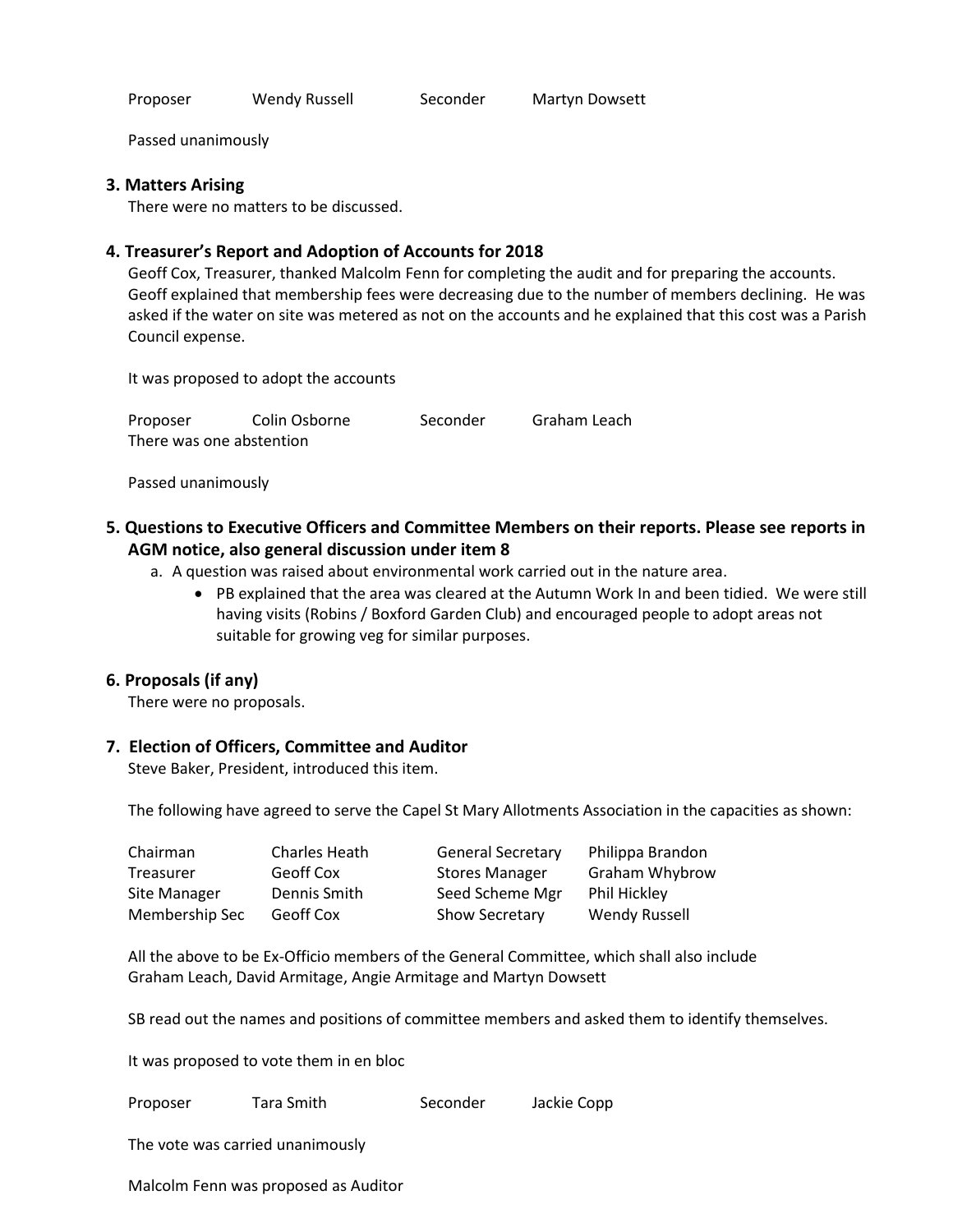Proposer Wendy Russell Seconder Martyn Dowsett

Passed unanimously

#### **3. Matters Arising**

There were no matters to be discussed.

## **4. Treasurer's Report and Adoption of Accounts for 2018**

Geoff Cox, Treasurer, thanked Malcolm Fenn for completing the audit and for preparing the accounts. Geoff explained that membership fees were decreasing due to the number of members declining. He was asked if the water on site was metered as not on the accounts and he explained that this cost was a Parish Council expense.

It was proposed to adopt the accounts

| Proposer                 | Colin Osborne | Seconder | Graham Leach |
|--------------------------|---------------|----------|--------------|
| There was one abstention |               |          |              |

Passed unanimously

- **5. Questions to Executive Officers and Committee Members on their reports. Please see reports in AGM notice, also general discussion under item 8**
	- a. A question was raised about environmental work carried out in the nature area.
		- PB explained that the area was cleared at the Autumn Work In and been tidied. We were still having visits (Robins / Boxford Garden Club) and encouraged people to adopt areas not suitable for growing veg for similar purposes.

# **6. Proposals (if any)**

There were no proposals.

## **7. Election of Officers, Committee and Auditor**

Steve Baker, President, introduced this item.

The following have agreed to serve the Capel St Mary Allotments Association in the capacities as shown:

| Chairman       | Charles Heath | <b>General Secretary</b> | Philippa Brandon      |
|----------------|---------------|--------------------------|-----------------------|
| Treasurer      | Geoff Cox     | <b>Stores Manager</b>    | <b>Graham Whybrow</b> |
| Site Manager   | Dennis Smith  | Seed Scheme Mgr          | Phil Hickley          |
| Membership Sec | Geoff Cox     | <b>Show Secretary</b>    | <b>Wendy Russell</b>  |

All the above to be Ex-Officio members of the General Committee, which shall also include Graham Leach, David Armitage, Angie Armitage and Martyn Dowsett

SB read out the names and positions of committee members and asked them to identify themselves.

It was proposed to vote them in en bloc

Proposer Tara Smith Seconder Jackie Copp

The vote was carried unanimously

Malcolm Fenn was proposed as Auditor